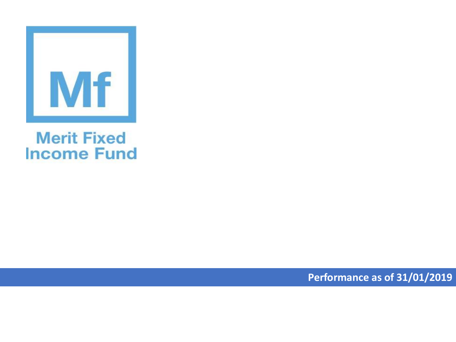

## **Merit Fixed Income Fund**

**Performance as of 31/01/2019**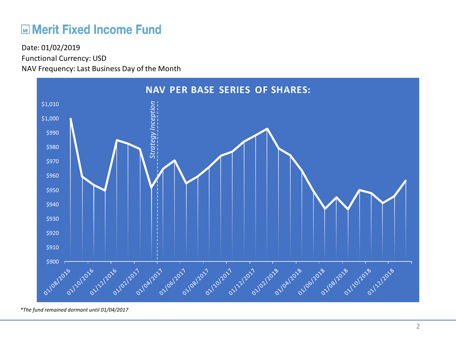## **ME Merit Fixed Income Fund**

Functional Currency: USD NAV Frequency: Last Business Day of the Month